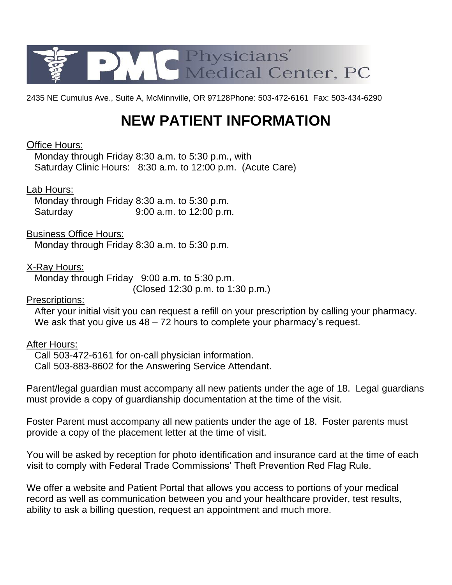

2435 NE Cumulus Ave., Suite A, McMinnville, OR 97128Phone: 503-472-6161 Fax: 503-434-6290

# **NEW PATIENT INFORMATION**

## Office Hours:

 Monday through Friday 8:30 a.m. to 5:30 p.m., with Saturday Clinic Hours: 8:30 a.m. to 12:00 p.m. (Acute Care)

## Lab Hours:

 Monday through Friday 8:30 a.m. to 5:30 p.m. Saturday 9:00 a.m. to 12:00 p.m.

## Business Office Hours:

Monday through Friday 8:30 a.m. to 5:30 p.m.

## X-Ray Hours:

 Monday through Friday 9:00 a.m. to 5:30 p.m. (Closed 12:30 p.m. to 1:30 p.m.)

## Prescriptions:

 After your initial visit you can request a refill on your prescription by calling your pharmacy. We ask that you give us  $48 - 72$  hours to complete your pharmacy's request.

## After Hours:

 Call 503-472-6161 for on-call physician information. Call 503-883-8602 for the Answering Service Attendant.

Parent/legal guardian must accompany all new patients under the age of 18. Legal guardians must provide a copy of guardianship documentation at the time of the visit.

Foster Parent must accompany all new patients under the age of 18. Foster parents must provide a copy of the placement letter at the time of visit.

You will be asked by reception for photo identification and insurance card at the time of each visit to comply with Federal Trade Commissions' Theft Prevention Red Flag Rule.

We offer a website and Patient Portal that allows you access to portions of your medical record as well as communication between you and your healthcare provider, test results, ability to ask a billing question, request an appointment and much more.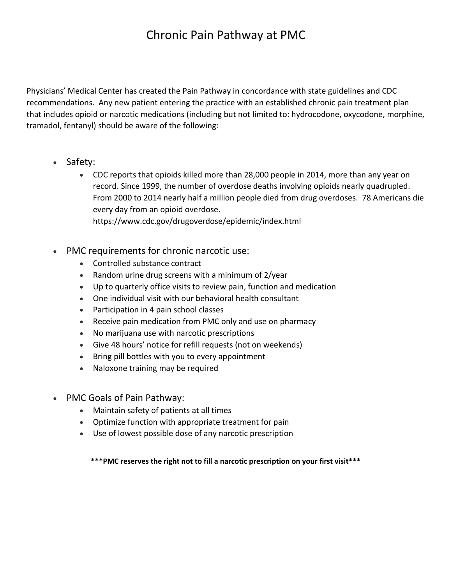# Chronic Pain Pathway at PMC

Physicians' Medical Center has created the Pain Pathway in concordance with state guidelines and CDC recommendations. Any new patient entering the practice with an established chronic pain treatment plan that includes opioid or narcotic medications (including but not limited to: hydrocodone, oxycodone, morphine, tramadol, fentanyl) should be aware of the following:

- Safety:
	- CDC reports that opioids killed more than 28,000 people in 2014, more than any year on record. Since 1999, the number of overdose deaths involving opioids nearly quadrupled. From 2000 to 2014 nearly half a million people died from drug overdoses. 78 Americans die every day from an opioid overdose. https://www.cdc.gov/drugoverdose/epidemic/index.html
- PMC requirements for chronic narcotic use:
	- Controlled substance contract
	- Random urine drug screens with a minimum of 2/year
	- Up to quarterly office visits to review pain, function and medication
	- One individual visit with our behavioral health consultant
	- Participation in 4 pain school classes
	- Receive pain medication from PMC only and use on pharmacy
	- No marijuana use with narcotic prescriptions
	- Give 48 hours' notice for refill requests (not on weekends)
	- Bring pill bottles with you to every appointment
	- Naloxone training may be required
- PMC Goals of Pain Pathway:
	- Maintain safety of patients at all times
	- Optimize function with appropriate treatment for pain
	- Use of lowest possible dose of any narcotic prescription

**\*\*\*PMC reserves the right not to fill a narcotic prescription on your first visit\*\*\***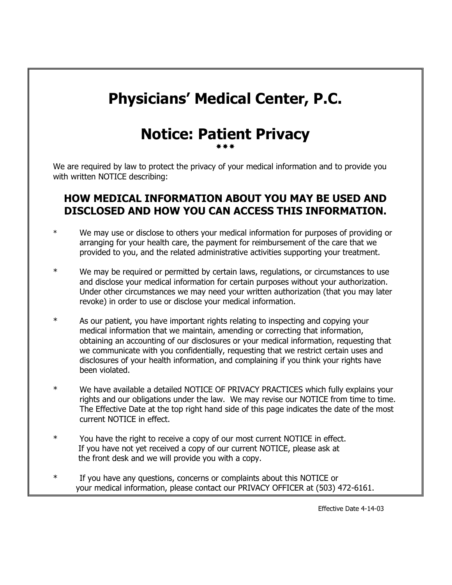# **Physicians' Medical Center, P.C.**

## **Notice: Patient Privacy** \*\*\*

We are required by law to protect the privacy of your medical information and to provide you with written NOTICE describing:

## **HOW MEDICAL INFORMATION ABOUT YOU MAY BE USED AND DISCLOSED AND HOW YOU CAN ACCESS THIS INFORMATION.**

- \* We may use or disclose to others your medical information for purposes of providing or arranging for your health care, the payment for reimbursement of the care that we provided to you, and the related administrative activities supporting your treatment.
- \* We may be required or permitted by certain laws, regulations, or circumstances to use and disclose your medical information for certain purposes without your authorization. Under other circumstances we may need your written authorization (that you may later revoke) in order to use or disclose your medical information.
- \* As our patient, you have important rights relating to inspecting and copying your medical information that we maintain, amending or correcting that information, obtaining an accounting of our disclosures or your medical information, requesting that we communicate with you confidentially, requesting that we restrict certain uses and disclosures of your health information, and complaining if you think your rights have been violated.
- \* We have available a detailed NOTICE OF PRIVACY PRACTICES which fully explains your rights and our obligations under the law. We may revise our NOTICE from time to time. The Effective Date at the top right hand side of this page indicates the date of the most current NOTICE in effect.
- \* You have the right to receive a copy of our most current NOTICE in effect. If you have not yet received a copy of our current NOTICE, please ask at the front desk and we will provide you with a copy.
- \* If you have any questions, concerns or complaints about this NOTICE or your medical information, please contact our PRIVACY OFFICER at (503) 472-6161.

Effective Date 4-14-03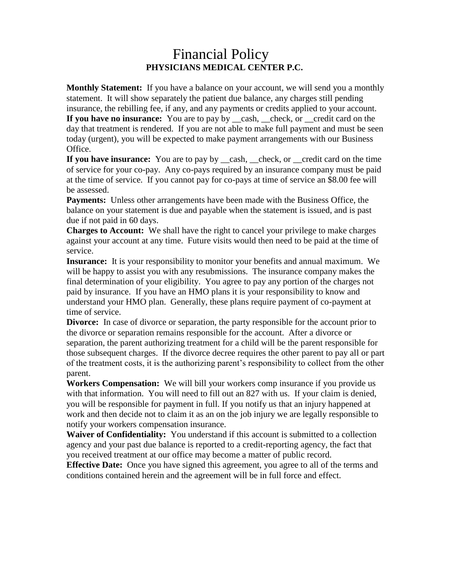## Financial Policy **PHYSICIANS MEDICAL CENTER P.C.**

**Monthly Statement:** If you have a balance on your account, we will send you a monthly statement. It will show separately the patient due balance, any charges still pending insurance, the rebilling fee, if any, and any payments or credits applied to your account. **If you have no insurance:** You are to pay by cash, check, or credit card on the day that treatment is rendered. If you are not able to make full payment and must be seen today (urgent), you will be expected to make payment arrangements with our Business Office.

**If you have insurance:** You are to pay by <u>eash, check</u>, or general card on the time of service for your co-pay. Any co-pays required by an insurance company must be paid at the time of service. If you cannot pay for co-pays at time of service an \$8.00 fee will be assessed.

**Payments:** Unless other arrangements have been made with the Business Office, the balance on your statement is due and payable when the statement is issued, and is past due if not paid in 60 days.

**Charges to Account:** We shall have the right to cancel your privilege to make charges against your account at any time. Future visits would then need to be paid at the time of service.

**Insurance:** It is your responsibility to monitor your benefits and annual maximum. We will be happy to assist you with any resubmissions. The insurance company makes the final determination of your eligibility. You agree to pay any portion of the charges not paid by insurance. If you have an HMO plans it is your responsibility to know and understand your HMO plan. Generally, these plans require payment of co-payment at time of service.

**Divorce:** In case of divorce or separation, the party responsible for the account prior to the divorce or separation remains responsible for the account. After a divorce or separation, the parent authorizing treatment for a child will be the parent responsible for those subsequent charges. If the divorce decree requires the other parent to pay all or part of the treatment costs, it is the authorizing parent's responsibility to collect from the other parent.

**Workers Compensation:** We will bill your workers comp insurance if you provide us with that information. You will need to fill out an 827 with us. If your claim is denied, you will be responsible for payment in full. If you notify us that an injury happened at work and then decide not to claim it as an on the job injury we are legally responsible to notify your workers compensation insurance.

**Waiver of Confidentiality:** You understand if this account is submitted to a collection agency and your past due balance is reported to a credit-reporting agency, the fact that you received treatment at our office may become a matter of public record.

**Effective Date:** Once you have signed this agreement, you agree to all of the terms and conditions contained herein and the agreement will be in full force and effect.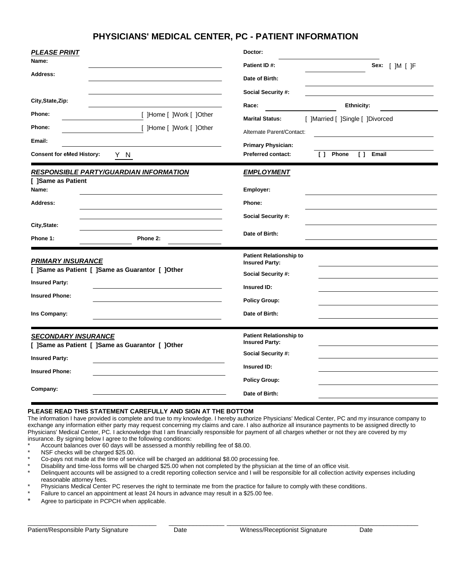#### **PHYSICIANS' MEDICAL CENTER, PC - PATIENT INFORMATION**

| <b>PLEASE PRINT</b>                              | Doctor:                                                    |  |  |  |  |
|--------------------------------------------------|------------------------------------------------------------|--|--|--|--|
| Name:                                            | Patient ID#:<br>Sex: $[$ ]M $[$ ]F                         |  |  |  |  |
| Address:                                         | Date of Birth:                                             |  |  |  |  |
|                                                  | Social Security #:                                         |  |  |  |  |
| City, State, Zip:                                | Ethnicity:<br>Race:                                        |  |  |  |  |
| [ ]Home [ ]Work [ ]Other<br>Phone:               | <b>Marital Status:</b><br>[ ]Married [ ]Single [ ]Divorced |  |  |  |  |
| Phone:<br>[ ]Home [ ]Work [ ]Other               | Alternate Parent/Contact:                                  |  |  |  |  |
| Email:                                           | <b>Primary Physician:</b>                                  |  |  |  |  |
| <b>Consent for eMed History:</b><br>Y N          | [ ] Phone<br><b>Preferred contact:</b><br>$\Box$<br>Email  |  |  |  |  |
| <b>RESPONSIBLE PARTY/GUARDIAN INFORMATION</b>    | <b>EMPLOYMENT</b>                                          |  |  |  |  |
| [ ]Same as Patient<br>Name:                      | Employer:                                                  |  |  |  |  |
| Address:                                         | Phone:                                                     |  |  |  |  |
|                                                  | Social Security #:                                         |  |  |  |  |
| City, State:                                     | Date of Birth:                                             |  |  |  |  |
| Phone 1:<br>Phone 2:                             |                                                            |  |  |  |  |
| <b>PRIMARY INSURANCE</b>                         | <b>Patient Relationship to</b><br><b>Insured Party:</b>    |  |  |  |  |
| [ ]Same as Patient [ ]Same as Guarantor [ ]Other | Social Security #:                                         |  |  |  |  |
| <b>Insured Party:</b>                            | Insured ID:                                                |  |  |  |  |
| <b>Insured Phone:</b>                            |                                                            |  |  |  |  |
|                                                  | <b>Policy Group:</b>                                       |  |  |  |  |
| Ins Company:                                     | Date of Birth:                                             |  |  |  |  |
| <b>SECONDARY INSURANCE</b>                       | <b>Patient Relationship to</b>                             |  |  |  |  |
| [ ]Same as Patient [ ]Same as Guarantor [ ]Other | <b>Insured Party:</b><br>Social Security #:                |  |  |  |  |
| <b>Insured Party:</b>                            |                                                            |  |  |  |  |
| <b>Insured Phone:</b>                            | Insured ID:                                                |  |  |  |  |
| Company:                                         | <b>Policy Group:</b>                                       |  |  |  |  |
|                                                  | Date of Birth:                                             |  |  |  |  |

#### **PLEASE READ THIS STATEMENT CAREFULLY AND SIGN AT THE BOTTOM**

The information I have provided is complete and true to my knowledge. I hereby authorize Physicians' Medical Center, PC and my insurance company to exchange any information either party may request concerning my claims and care. I also authorize all insurance payments to be assigned directly to Physicians' Medical Center, PC. I acknowledge that I am financially responsible for payment of all charges whether or not they are covered by my insurance. By signing below I agree to the following conditions:

- Account balances over 60 days will be assessed a monthly rebilling fee of \$8.00.
- NSF checks will be charged \$25.00.
- Co-pays not made at the time of service will be charged an additional \$8.00 processing fee.
- Disability and time-loss forms will be charged \$25.00 when not completed by the physician at the time of an office visit.
- Delinquent accounts will be assigned to a credit reporting collection service and I will be responsible for all collection activity expenses including reasonable attorney fees.

 $\_$  , and the set of the set of the set of the set of the set of the set of the set of the set of the set of the set of the set of the set of the set of the set of the set of the set of the set of the set of the set of th

- Physicians Medical Center PC reserves the right to terminate me from the practice for failure to comply with these conditions.
- Failure to cancel an appointment at least 24 hours in advance may result in a \$25.00 fee.
- Agree to participate in PCPCH when applicable.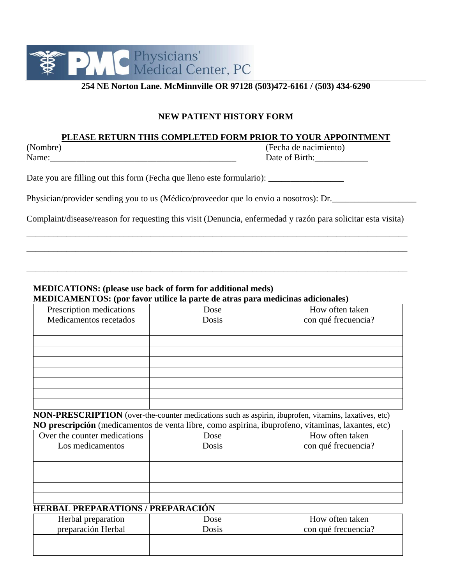

#### **254 NE Norton Lane. McMinnville OR 97128 (503)472-6161 / (503) 434-6290**

#### **NEW PATIENT HISTORY FORM**

#### **PLEASE RETURN THIS COMPLETED FORM PRIOR TO YOUR APPOINTMENT**

(Nombre) (Fecha de nacimiento) Name:\_\_\_\_\_\_\_\_\_\_\_\_\_\_\_\_\_\_\_\_\_\_\_\_\_\_\_\_\_\_\_\_\_\_\_\_\_\_\_\_\_\_ Date of Birth:\_\_\_\_\_\_\_\_\_\_\_\_

Date you are filling out this form (Fecha que lleno este formulario):

Physician/provider sending you to us (Médico/proveedor que lo envio a nosotros): Dr.

Complaint/disease/reason for requesting this visit (Denuncia, enfermedad y razón para solicitar esta visita)

\_\_\_\_\_\_\_\_\_\_\_\_\_\_\_\_\_\_\_\_\_\_\_\_\_\_\_\_\_\_\_\_\_\_\_\_\_\_\_\_\_\_\_\_\_\_\_\_\_\_\_\_\_\_\_\_\_\_\_\_\_\_\_\_\_\_\_\_\_\_\_\_\_\_\_\_\_\_\_\_\_\_\_\_\_\_ \_\_\_\_\_\_\_\_\_\_\_\_\_\_\_\_\_\_\_\_\_\_\_\_\_\_\_\_\_\_\_\_\_\_\_\_\_\_\_\_\_\_\_\_\_\_\_\_\_\_\_\_\_\_\_\_\_\_\_\_\_\_\_\_\_\_\_\_\_\_\_\_\_\_\_\_\_\_\_\_\_\_\_\_\_\_

\_\_\_\_\_\_\_\_\_\_\_\_\_\_\_\_\_\_\_\_\_\_\_\_\_\_\_\_\_\_\_\_\_\_\_\_\_\_\_\_\_\_\_\_\_\_\_\_\_\_\_\_\_\_\_\_\_\_\_\_\_\_\_\_\_\_\_\_\_\_\_\_\_\_\_\_\_\_\_\_\_\_\_\_\_\_

#### **MEDICATIONS: (please use back of form for additional meds) MEDICAMENTOS: (por favor utilice la parte de atras para medicinas adicionales)**

| Prescription medications | Dose  | How often taken     |
|--------------------------|-------|---------------------|
| Medicamentos recetados   | Dosis | con qué frecuencia? |
|                          |       |                     |
|                          |       |                     |
|                          |       |                     |
|                          |       |                     |
|                          |       |                     |
|                          |       |                     |
|                          |       |                     |
|                          |       |                     |

**NON-PRESCRIPTION** (over-the-counter medications such as aspirin, ibuprofen, vitamins, laxatives, etc) **NO prescripción** (medicamentos de venta libre, como aspirina, ibuprofeno, vitaminas, laxantes, etc)

| Over the counter medications | Dose  | How often taken     |
|------------------------------|-------|---------------------|
| Los medicamentos             | Dosis | con qué frecuencia? |
|                              |       |                     |
|                              |       |                     |
|                              |       |                     |
|                              |       |                     |
|                              |       |                     |

#### **HERBAL PREPARATIONS / PREPARACIÓN**

| Herbal preparation<br>preparación Herbal | Dose<br>Dosis | How often taken<br>con qué frecuencia? |
|------------------------------------------|---------------|----------------------------------------|
|                                          |               |                                        |
|                                          |               |                                        |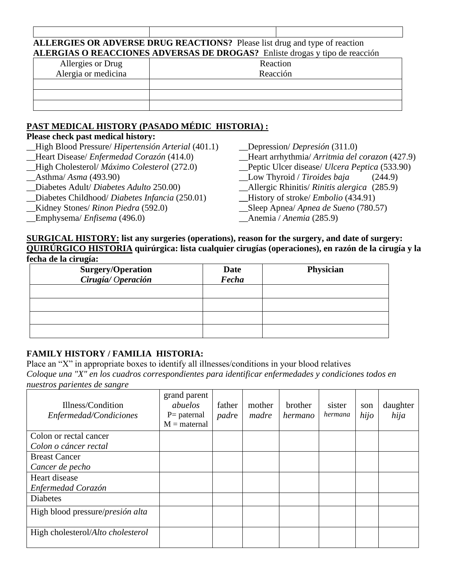#### **ALLERGIES OR ADVERSE DRUG REACTIONS?** Please list drug and type of reaction **ALERGIAS O REACCIONES ADVERSAS DE DROGAS?** Enliste drogas y tipo de reacción

| Allergies or Drug   | Reaction |
|---------------------|----------|
| Alergia or medicina | Reacción |
|                     |          |
|                     |          |
|                     |          |

## **PAST MEDICAL HISTORY (PASADO MÉDIC HISTORIA) :**

## **Please check past medical history:**

| _High Blood Pressure/ Hipertensión Arterial (401.1) | Depression/ <i>Depressión</i> $(311.0)$              |
|-----------------------------------------------------|------------------------------------------------------|
| _Heart Disease/ Enfermedad Corazón (414.0)          | _Heart arrhythmia/ Arritmia del corazon (427.9)      |
| _High Cholesterol/ Máximo Colesterol (272.0)        | Peptic Ulcer disease/ <i>Ulcera Peptica</i> (533.90) |
| $\Delta$ sthma/Asma (493.90)                        | $\_\_\text{Low}$ Thyroid / Tiroides baja<br>(244.9)  |
| Diabetes Adult/Diabetes Adulto 250.00)              | _Allergic Rhinitis/ Rinitis alergica (285.9)         |
| Diabetes Childhood/ Diabetes Infancia (250.01)      | $\text{History of stroke}/\text{Embolio}$ (434.91)   |
| <b>Kidney Stones/ Rinon Piedra (592.0)</b>          | _Sleep Apnea/ Apnea de Sueno (780.57)                |
| $\equiv$ Emphysema/ <i>Enfisema</i> (496.0)         | $\frac{1}{2}$ Anemia / Anemia (285.9)                |
|                                                     |                                                      |

#### **SURGICAL HISTORY: list any surgeries (operations), reason for the surgery, and date of surgery: QUIRÚRGICO HISTORIA quirúrgica: lista cualquier cirugías (operaciones), en razón de la cirugía y la fecha de la cirugía:**

| <b>Surgery/Operation</b><br>Cirugía/Operación | Date<br>Fecha | Physician |
|-----------------------------------------------|---------------|-----------|
|                                               |               |           |
|                                               |               |           |
|                                               |               |           |
|                                               |               |           |

## **FAMILY HISTORY / FAMILIA HISTORIA:**

Place an "X" in appropriate boxes to identify all illnesses/conditions in your blood relatives *Coloque una "X" en los cuadros correspondientes para identificar enfermedades y condiciones todos en nuestros parientes de sangre*

| Illness/Condition<br>Enfermedad/Condiciones | grand parent<br>abuelos<br>$P =$ paternal<br>$M =$ maternal | father<br>padre | mother<br>madre | brother<br>hermano | sister<br>hermana | son<br>hijo | daughter<br>hija |
|---------------------------------------------|-------------------------------------------------------------|-----------------|-----------------|--------------------|-------------------|-------------|------------------|
| Colon or rectal cancer                      |                                                             |                 |                 |                    |                   |             |                  |
| Colon o cáncer rectal                       |                                                             |                 |                 |                    |                   |             |                  |
| <b>Breast Cancer</b>                        |                                                             |                 |                 |                    |                   |             |                  |
| Cancer de pecho                             |                                                             |                 |                 |                    |                   |             |                  |
| Heart disease                               |                                                             |                 |                 |                    |                   |             |                  |
| Enfermedad Corazón                          |                                                             |                 |                 |                    |                   |             |                  |
| Diabetes                                    |                                                             |                 |                 |                    |                   |             |                  |
| High blood pressure/ <i>presión alta</i>    |                                                             |                 |                 |                    |                   |             |                  |
| High cholesterol/Alto cholesterol           |                                                             |                 |                 |                    |                   |             |                  |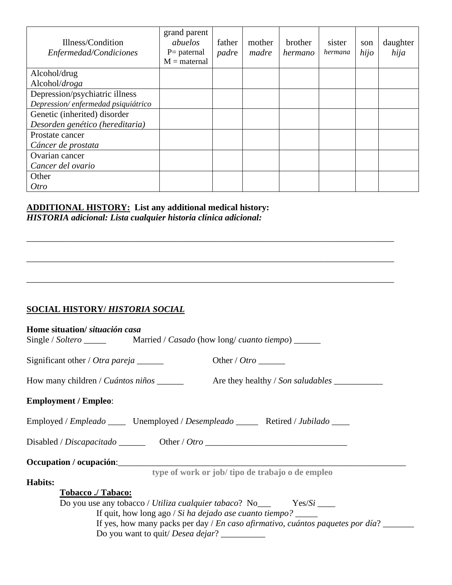| Illness/Condition<br>Enfermedad/Condiciones | grand parent<br>abuelos<br>$P=$ paternal<br>$M =$ maternal | father<br>padre | mother<br>madre | brother<br>hermano | sister<br>hermana | son<br>hijo | daughter<br>hija |
|---------------------------------------------|------------------------------------------------------------|-----------------|-----------------|--------------------|-------------------|-------------|------------------|
| Alcohol/drug                                |                                                            |                 |                 |                    |                   |             |                  |
| Alcohol/droga                               |                                                            |                 |                 |                    |                   |             |                  |
| Depression/psychiatric illness              |                                                            |                 |                 |                    |                   |             |                  |
| Depression/enfermedad psiquiátrico          |                                                            |                 |                 |                    |                   |             |                  |
| Genetic (inherited) disorder                |                                                            |                 |                 |                    |                   |             |                  |
| Desorden genético (hereditaria)             |                                                            |                 |                 |                    |                   |             |                  |
| Prostate cancer                             |                                                            |                 |                 |                    |                   |             |                  |
| Cáncer de prostata                          |                                                            |                 |                 |                    |                   |             |                  |
| Ovarian cancer                              |                                                            |                 |                 |                    |                   |             |                  |
| Cancer del ovario                           |                                                            |                 |                 |                    |                   |             |                  |
| Other                                       |                                                            |                 |                 |                    |                   |             |                  |
| Otro                                        |                                                            |                 |                 |                    |                   |             |                  |

\_\_\_\_\_\_\_\_\_\_\_\_\_\_\_\_\_\_\_\_\_\_\_\_\_\_\_\_\_\_\_\_\_\_\_\_\_\_\_\_\_\_\_\_\_\_\_\_\_\_\_\_\_\_\_\_\_\_\_\_\_\_\_\_\_\_\_\_\_\_\_\_\_\_\_\_\_\_\_\_\_\_\_

\_\_\_\_\_\_\_\_\_\_\_\_\_\_\_\_\_\_\_\_\_\_\_\_\_\_\_\_\_\_\_\_\_\_\_\_\_\_\_\_\_\_\_\_\_\_\_\_\_\_\_\_\_\_\_\_\_\_\_\_\_\_\_\_\_\_\_\_\_\_\_\_\_\_\_\_\_\_\_\_\_\_\_

\_\_\_\_\_\_\_\_\_\_\_\_\_\_\_\_\_\_\_\_\_\_\_\_\_\_\_\_\_\_\_\_\_\_\_\_\_\_\_\_\_\_\_\_\_\_\_\_\_\_\_\_\_\_\_\_\_\_\_\_\_\_\_\_\_\_\_\_\_\_\_\_\_\_\_\_\_\_\_\_\_\_\_

# **ADDITIONAL HISTORY: List any additional medical history:**

*HISTORIA adicional: Lista cualquier historia clínica adicional:*

## **SOCIAL HISTORY/** *HISTORIA SOCIAL*

| Home situation/ situación casa                                                                                                                                                                                                                                             |                                                                                                                                          |
|----------------------------------------------------------------------------------------------------------------------------------------------------------------------------------------------------------------------------------------------------------------------------|------------------------------------------------------------------------------------------------------------------------------------------|
| Significant other / Otra pareja $\frac{ }{ }$                                                                                                                                                                                                                              |                                                                                                                                          |
| How many children / <i>Cuántos niños</i> $\frac{ }{ }$                                                                                                                                                                                                                     |                                                                                                                                          |
| <b>Employment / Empleo:</b>                                                                                                                                                                                                                                                |                                                                                                                                          |
| Employed / Empleado _______ Unemployed / Desempleado ________ Retired / Jubilado _____                                                                                                                                                                                     |                                                                                                                                          |
| $Disable d/Discapacitado$ $Oner/O tro$                                                                                                                                                                                                                                     |                                                                                                                                          |
|                                                                                                                                                                                                                                                                            |                                                                                                                                          |
| <b>Habits:</b><br>Tobacco ./ Tabaco:<br>Do you use any tobacco / Utiliza cualquier tabaco? $No_$ $\qquad \qquad Yes/Si$ $\qquad \qquad$<br>If quit, how long ago / Si ha dejado ase cuanto tiempo? $\frac{ }{ }$<br>Do you want to quit/ <i>Desea dejar</i> ? ____________ | type of work or job/ tipo de trabajo o de empleo<br>If yes, how many packs per day / En caso afirmativo, cuántos paquetes por día? _____ |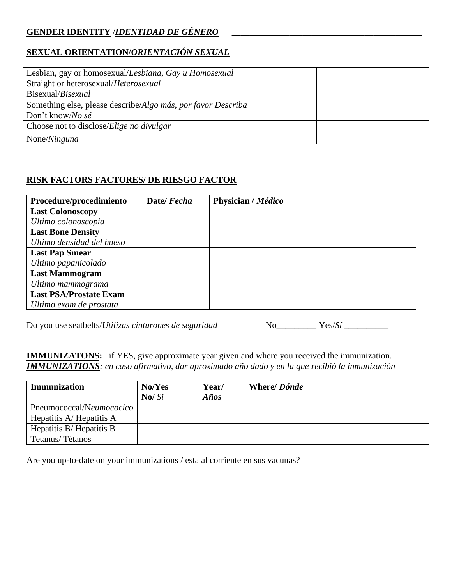## **GENDER IDENTITY** /*IDENTIDAD DE GÉNERO* **\_\_\_\_\_\_\_\_\_\_\_\_\_\_\_\_\_\_\_\_\_\_\_\_\_\_\_\_\_\_\_\_\_\_\_\_\_\_\_\_\_\_\_**

## **SEXUAL ORIENTATION/***ORIENTACIÓN SEXUAL*

| Lesbian, gay or homosexual/Lesbiana, Gay u Homosexual                |  |
|----------------------------------------------------------------------|--|
| Straight or heterosexual/Heterosexual                                |  |
| Bisexual/Bisexual                                                    |  |
| Something else, please describe/ <i>Algo más, por favor Describa</i> |  |
| Don't know/No sé                                                     |  |
| Choose not to disclose/ <i>Elige no divulgar</i>                     |  |
| None/Ninguna                                                         |  |

### **RISK FACTORS FACTORES/ DE RIESGO FACTOR**

| Procedure/procedimiento       | Date/Fecha | Physician / Médico |
|-------------------------------|------------|--------------------|
| <b>Last Colonoscopy</b>       |            |                    |
| Ultimo colonoscopia           |            |                    |
| <b>Last Bone Density</b>      |            |                    |
| Ultimo densidad del hueso     |            |                    |
| <b>Last Pap Smear</b>         |            |                    |
| Ultimo papanicolado           |            |                    |
| <b>Last Mammogram</b>         |            |                    |
| Ultimo mammograma             |            |                    |
| <b>Last PSA/Prostate Exam</b> |            |                    |
| Ultimo exam de prostata       |            |                    |

Do you use seatbelts/*Utilizas cinturones de seguridad* No\_\_\_\_\_\_\_\_\_ Yes/*Sí* \_\_\_\_\_\_\_\_\_\_

**IMMUNIZATONS:** if YES, give approximate year given and where you received the immunization. *IMMUNIZATIONS: en caso afirmativo, dar aproximado año dado y en la que recibió la inmunización*

| <b>Immunization</b>      | No/Yes<br>$\mathbf{N}\mathbf{o}/\mathbf{Si}$ | Year/<br>Años | <b>Where/Dónde</b> |
|--------------------------|----------------------------------------------|---------------|--------------------|
| Pneumococcal/Neumococico |                                              |               |                    |
| Hepatitis A/Hepatitis A  |                                              |               |                    |
| Hepatitis B/Hepatitis B  |                                              |               |                    |
| Tetanus/Tétanos          |                                              |               |                    |

Are you up-to-date on your immunizations / esta al corriente en sus vacunas?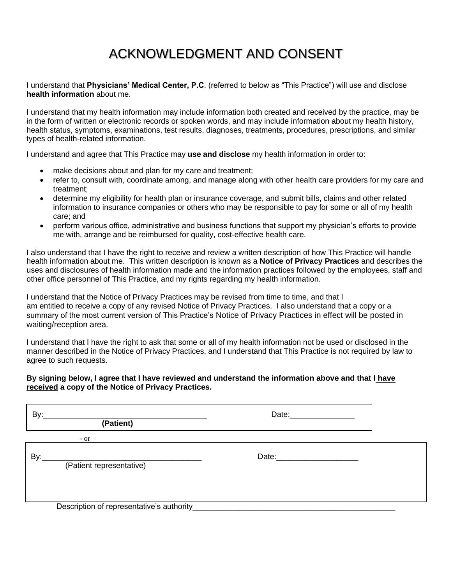# ACKNOWLEDGMENT AND CONSENT

I understand that **Physicians' Medical Center, P.C**. (referred to below as "This Practice") will use and disclose **health information** about me.

I understand that my health information may include information both created and received by the practice, may be in the form of written or electronic records or spoken words, and may include information about my health history, health status, symptoms, examinations, test results, diagnoses, treatments, procedures, prescriptions, and similar types of health-related information.

I understand and agree that This Practice may **use and disclose** my health information in order to:

- make decisions about and plan for my care and treatment;
- refer to, consult with, coordinate among, and manage along with other health care providers for my care and treatment;
- determine my eligibility for health plan or insurance coverage, and submit bills, claims and other related information to insurance companies or others who may be responsible to pay for some or all of my health care; and
- perform various office, administrative and business functions that support my physician's efforts to provide me with, arrange and be reimbursed for quality, cost-effective health care.

I also understand that I have the right to receive and review a written description of how This Practice will handle health information about me. This written description is known as a **Notice of Privacy Practices** and describes the uses and disclosures of health information made and the information practices followed by the employees, staff and other office personnel of This Practice, and my rights regarding my health information.

I understand that the Notice of Privacy Practices may be revised from time to time, and that I am entitled to receive a copy of any revised Notice of Privacy Practices. I also understand that a copy or a summary of the most current version of This Practice's Notice of Privacy Practices in effect will be posted in waiting/reception area.

I understand that I have the right to ask that some or all of my health information not be used or disclosed in the manner described in the Notice of Privacy Practices, and I understand that This Practice is not required by law to agree to such requests.

#### **By signing below, I agree that I have reviewed and understand the information above and that I have received a copy of the Notice of Privacy Practices.**

| By:<br>(Patient)                                                                               | Date: Date: |
|------------------------------------------------------------------------------------------------|-------------|
| $-$ or $-$                                                                                     |             |
| By:<br><u> 1989 - Johann Stoff, Amerikaansk politiker (* 1908)</u><br>(Patient representative) |             |
| Description of representative's authority_                                                     |             |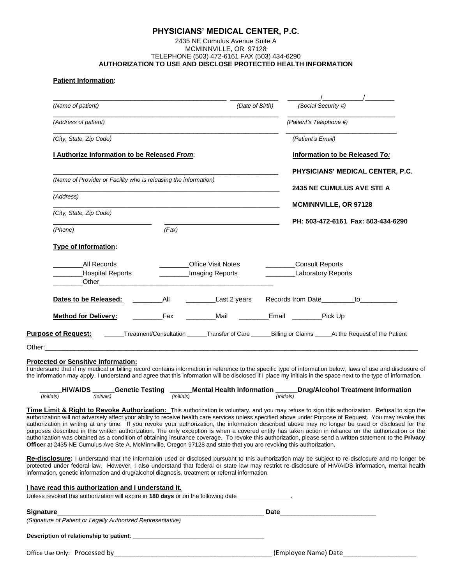#### **PHYSICIANS' MEDICAL CENTER, P.C.**

#### 2435 NE Cumulus Avenue Suite A MCMINNVILLE, OR 97128 TELEPHONE (503) 472-6161 FAX (503) 434-6290 **AUTHORIZATION TO USE AND DISCLOSE PROTECTED HEALTH INFORMATION**

#### **Patient Information**:

| Information to be Released To:<br>PHYSICIANS' MEDICAL CENTER, P.C.                                                                  |
|-------------------------------------------------------------------------------------------------------------------------------------|
|                                                                                                                                     |
|                                                                                                                                     |
|                                                                                                                                     |
|                                                                                                                                     |
|                                                                                                                                     |
| <b>2435 NE CUMULUS AVE STE A</b>                                                                                                    |
|                                                                                                                                     |
|                                                                                                                                     |
| PH: 503-472-6161 Fax: 503-434-6290                                                                                                  |
|                                                                                                                                     |
|                                                                                                                                     |
|                                                                                                                                     |
|                                                                                                                                     |
|                                                                                                                                     |
| Purpose of Request: _______Treatment/Consultation ______Transfer of Care ______Billing or Claims _____At the Request of the Patient |
|                                                                                                                                     |
|                                                                                                                                     |

**\_\_\_\_\_\_HIV/AIDS \_\_\_\_\_\_Genetic Testing \_\_\_\_\_\_Mental Health Information \_\_\_\_\_\_Drug/Alcohol Treatment Information**

(*Initials) (Initials) (Initials) (Initials)* 

**Time Limit & Right to Revoke Authorization:** This authorization is voluntary, and you may refuse to sign this authorization. Refusal to sign the authorization will not adversely affect your ability to receive health care services unless specified above under Purpose of Request. You may revoke this authorization in writing at any time. If you revoke your authorization, the information described above may no longer be used or disclosed for the purposes described in this written authorization. The only exception is when a covered entity has taken action in reliance on the authorization or the authorization was obtained as a condition of obtaining insurance coverage. To revoke this authorization, please send a written statement to the **Privacy Officer** at 2435 NE Cumulus Ave Ste A, McMinnville, Oregon 97128 and state that you are revoking this authorization.

**Re-disclosure:** I understand that the information used or disclosed pursuant to this authorization may be subject to re-disclosure and no longer be protected under federal law. However, I also understand that federal or state law may restrict re-disclosure of HIV/AIDS information, mental health information, genetic information and drug/alcohol diagnosis, treatment or referral information.

| I have read this authorization and I understand it.<br>Unless revoked this authorization will expire in 180 days or on the following date |  |
|-------------------------------------------------------------------------------------------------------------------------------------------|--|
|                                                                                                                                           |  |
| (Signature of Patient or Legally Authorized Representative)                                                                               |  |
|                                                                                                                                           |  |
| Office Use Only: Processed by example and the control of the Company (Employee Name) Date Company of the Company                          |  |